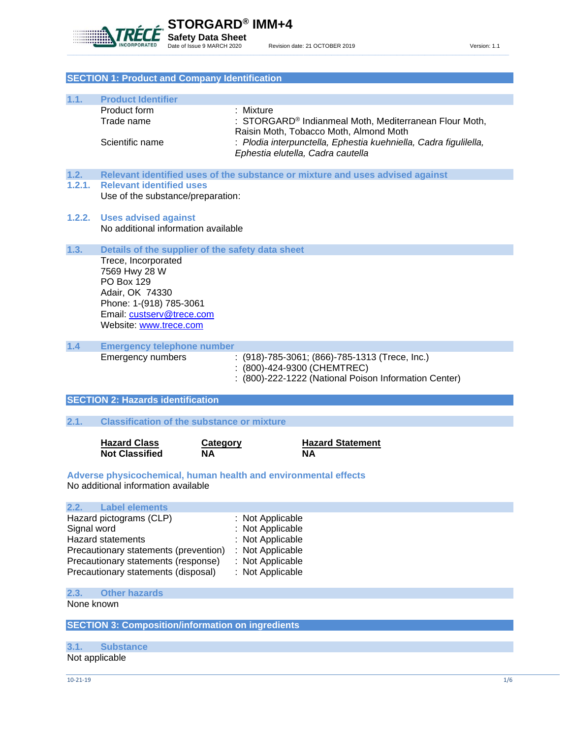

| <b>SECTION 1: Product and Company Identification</b> |                                                                                                                                                                            |                                                                                                                                                                                                                                  |  |
|------------------------------------------------------|----------------------------------------------------------------------------------------------------------------------------------------------------------------------------|----------------------------------------------------------------------------------------------------------------------------------------------------------------------------------------------------------------------------------|--|
|                                                      |                                                                                                                                                                            |                                                                                                                                                                                                                                  |  |
| 1.1.                                                 | <b>Product Identifier</b><br>Product form<br>Trade name<br>Scientific name                                                                                                 | : Mixture<br>STORGARD <sup>®</sup> Indianmeal Moth, Mediterranean Flour Moth,<br>Raisin Moth, Tobacco Moth, Almond Moth<br>: Plodia interpunctella, Ephestia kuehniella, Cadra figulilella,<br>Ephestia elutella, Cadra cautella |  |
| 1.2.                                                 |                                                                                                                                                                            | Relevant identified uses of the substance or mixture and uses advised against                                                                                                                                                    |  |
| 1.2.1.                                               | <b>Relevant identified uses</b><br>Use of the substance/preparation:                                                                                                       |                                                                                                                                                                                                                                  |  |
| 1.2.2.                                               | <b>Uses advised against</b><br>No additional information available                                                                                                         |                                                                                                                                                                                                                                  |  |
| 1.3.                                                 | Details of the supplier of the safety data sheet                                                                                                                           |                                                                                                                                                                                                                                  |  |
|                                                      | Trece, Incorporated<br>7569 Hwy 28 W<br><b>PO Box 129</b><br>Adair, OK 74330<br>Phone: 1-(918) 785-3061<br>Email: custserv@trece.com<br>Website: www.trece.com             |                                                                                                                                                                                                                                  |  |
| 1.4                                                  | <b>Emergency telephone number</b>                                                                                                                                          |                                                                                                                                                                                                                                  |  |
|                                                      | <b>Emergency numbers</b>                                                                                                                                                   | : (918)-785-3061; (866)-785-1313 (Trece, Inc.)<br>: (800)-424-9300 (CHEMTREC)<br>: (800)-222-1222 (National Poison Information Center)                                                                                           |  |
|                                                      | <b>SECTION 2: Hazards identification</b>                                                                                                                                   |                                                                                                                                                                                                                                  |  |
| 2.1.                                                 | <b>Classification of the substance or mixture</b>                                                                                                                          |                                                                                                                                                                                                                                  |  |
|                                                      |                                                                                                                                                                            |                                                                                                                                                                                                                                  |  |
|                                                      | <b>Hazard Class</b><br>Category<br><b>Not Classified</b><br><b>NA</b>                                                                                                      | <b>Hazard Statement</b><br><b>NA</b>                                                                                                                                                                                             |  |
|                                                      | No additional information available                                                                                                                                        | Adverse physicochemical, human health and environmental effects                                                                                                                                                                  |  |
| <b>Label elements</b><br>2.2.                        |                                                                                                                                                                            |                                                                                                                                                                                                                                  |  |
| Signal word                                          | Hazard pictograms (CLP)<br><b>Hazard statements</b><br>Precautionary statements (prevention)<br>Precautionary statements (response)<br>Precautionary statements (disposal) | : Not Applicable<br>Not Applicable<br>Not Applicable<br>Not Applicable<br>Not Applicable<br>Not Applicable                                                                                                                       |  |
| 2.3.                                                 | <b>Other hazards</b>                                                                                                                                                       |                                                                                                                                                                                                                                  |  |
| None known                                           |                                                                                                                                                                            |                                                                                                                                                                                                                                  |  |

**SECTION 3: Composition/information on ingredients**

**3.1. Substance** Not applicable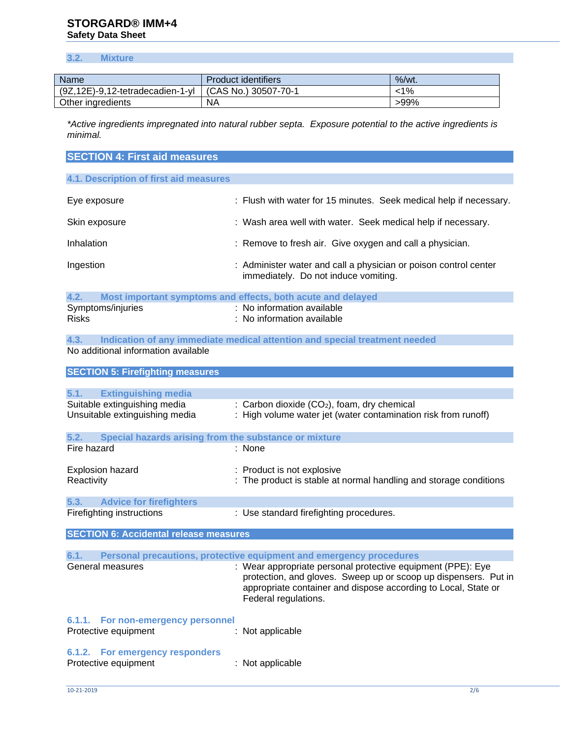# **STORGARD® IMM+4 Safety Data Sheet**

# **3.2. Mixture**

| <b>Name</b>                             | <b>Product identifiers</b> | $%$ /wt. |
|-----------------------------------------|----------------------------|----------|
| $(9Z, 12E) - 9, 12$ -tetradecadien-1-yl | $(CAS No.)$ 30507-70-1     | -1%      |
| Other ingredients                       | ΝA                         | >99%     |

*\*Active ingredients impregnated into natural rubber septa. Exposure potential to the active ingredients is minimal.* 

# **SECTION 4: First aid measures 4.1. Description of first aid measures** Eye exposure : Flush with water for 15 minutes. Seek medical help if necessary. Skin exposure **in the set of the set of the set of the set of the set of the set of the set of the set of the set of the set of the set of the set of the set of the set of the set of the set of the set of the set of the se** Inhalation : Remove to fresh air. Give oxygen and call a physician. Ingestion : Administer water and call a physician or poison control center immediately. Do not induce vomiting.

| 4.2.         |                   | Most important symptoms and effects, both acute and delayed |
|--------------|-------------------|-------------------------------------------------------------|
|              | Symptoms/injuries | : No information available                                  |
| <b>Risks</b> |                   | : No information available                                  |

**4.3. Indication of any immediate medical attention and special treatment needed** No additional information available

# **SECTION 5: Firefighting measures 5.1. Extinguishing media** Suitable extinguishing media : Carbon dioxide (CO<sub>2</sub>), foam, dry chemical Unsuitable extinguishing media : High volume water jet (water contamination risk from runoff) **5.2. Special hazards arising from the substance or mixture** Fire hazard : None Explosion hazard : Product is not explosive Reactivity **Example 20** Constant in the product is stable at normal handling and storage conditions **5.3. Advice for firefighters** Firefighting instructions : Use standard firefighting procedures. **SECTION 6: Accidental release measures 6.1. Personal precautions, protective equipment and emergency procedures**

| .<br>TU TURKA MATUKA MANGUNIA                              |                                                                                                                                                                                                                          |
|------------------------------------------------------------|--------------------------------------------------------------------------------------------------------------------------------------------------------------------------------------------------------------------------|
| General measures                                           | : Wear appropriate personal protective equipment (PPE): Eye<br>protection, and gloves. Sweep up or scoop up dispensers. Put in<br>appropriate container and dispose according to Local, State or<br>Federal regulations. |
| 6.1.1. For non-emergency personnel<br>Protective equipment | : Not applicable                                                                                                                                                                                                         |
| 6.1.2. For emergency responders<br>Protective equipment    | : Not applicable                                                                                                                                                                                                         |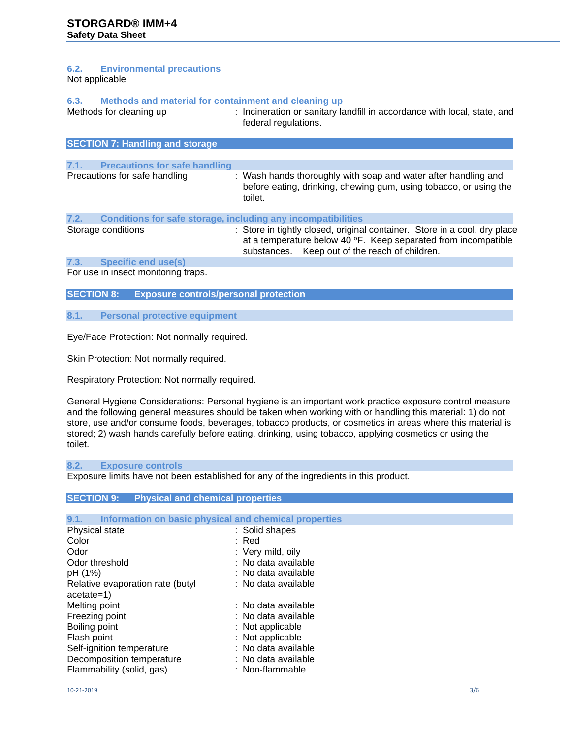# **6.2. Environmental precautions**

Not applicable

### **6.3. Methods and material for containment and cleaning up**

Methods for cleaning up : Incineration or sanitary landfill in accordance with local, state, and federal regulations.

|      | <b>SECTION 7: Handling and storage</b>                       |                                                                                                                                                                                               |
|------|--------------------------------------------------------------|-----------------------------------------------------------------------------------------------------------------------------------------------------------------------------------------------|
| 7.1. | <b>Precautions for safe handling</b>                         |                                                                                                                                                                                               |
|      | Precautions for safe handling                                | : Wash hands thoroughly with soap and water after handling and<br>before eating, drinking, chewing gum, using tobacco, or using the<br>toilet.                                                |
| 7.2. | Conditions for safe storage, including any incompatibilities |                                                                                                                                                                                               |
|      | Storage conditions                                           | : Store in tightly closed, original container. Store in a cool, dry place<br>at a temperature below 40 °F. Keep separated from incompatible<br>substances. Keep out of the reach of children. |
| 7.3. | <b>Specific end use(s)</b>                                   |                                                                                                                                                                                               |

For use in insect monitoring traps.

**SECTION 8: Exposure controls/personal protection**

#### **8.1. Personal protective equipment**

Eye/Face Protection: Not normally required.

Skin Protection: Not normally required.

Respiratory Protection: Not normally required.

General Hygiene Considerations: Personal hygiene is an important work practice exposure control measure and the following general measures should be taken when working with or handling this material: 1) do not store, use and/or consume foods, beverages, tobacco products, or cosmetics in areas where this material is stored; 2) wash hands carefully before eating, drinking, using tobacco, applying cosmetics or using the toilet.

#### **8.2. Exposure controls**

Exposure limits have not been established for any of the ingredients in this product.

### **SECTION 9: Physical and chemical properties**

| 9.1.<br>Information on basic physical and chemical properties |                     |
|---------------------------------------------------------------|---------------------|
| Physical state                                                | : Solid shapes      |
| Color                                                         | :Red                |
| Odor                                                          | : Very mild, oily   |
| Odor threshold                                                | : No data available |
| pH (1%)                                                       | : No data available |
| Relative evaporation rate (butyl<br>acetate=1)                | : No data available |
| Melting point                                                 | : No data available |
| Freezing point                                                | : No data available |
| Boiling point                                                 | : Not applicable    |
| Flash point                                                   | : Not applicable    |
| Self-ignition temperature                                     | : No data available |
| Decomposition temperature                                     | : No data available |
| Flammability (solid, gas)                                     | : Non-flammable     |
|                                                               |                     |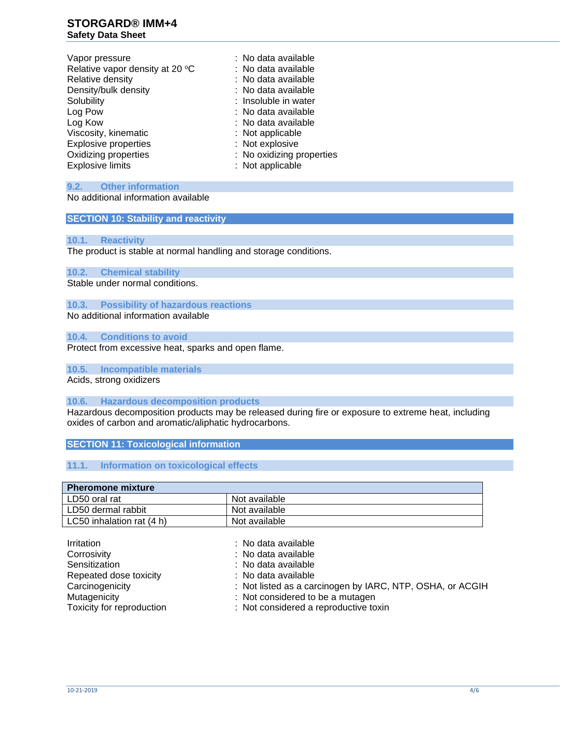# **STORGARD® IMM+4 Safety Data Sheet**

| Vapor pressure                  | : No data available       |
|---------------------------------|---------------------------|
| Relative vapor density at 20 °C | : No data available       |
| Relative density                | : No data available       |
| Density/bulk density            | : No data available       |
| Solubility                      | : Insoluble in water      |
| Log Pow                         | : No data available       |
| Log Kow                         | : No data available       |
| Viscosity, kinematic            | : Not applicable          |
| <b>Explosive properties</b>     | : Not explosive           |
| Oxidizing properties            | : No oxidizing properties |
| <b>Explosive limits</b>         | : Not applicable          |
|                                 |                           |

# **9.2. Other information**

No additional information available

# **SECTION 10: Stability and reactivity**

#### **10.1. Reactivity**

The product is stable at normal handling and storage conditions.

# **10.2. Chemical stability**

Stable under normal conditions.

# **10.3. Possibility of hazardous reactions**

No additional information available

# **10.4. Conditions to avoid**

Protect from excessive heat, sparks and open flame.

# **10.5. Incompatible materials**

Acids, strong oxidizers

#### **10.6. Hazardous decomposition products**

Hazardous decomposition products may be released during fire or exposure to extreme heat, including oxides of carbon and aromatic/aliphatic hydrocarbons.

# **SECTION 11: Toxicological information**

### **11.1. Information on toxicological effects**

| <b>Pheromone mixture</b>  |               |  |
|---------------------------|---------------|--|
| LD50 oral rat             | Not available |  |
| LD50 dermal rabbit        | Not available |  |
| LC50 inhalation rat (4 h) | Not available |  |

| <b>Irritation</b><br>Corrosivity<br>Sensitization<br>Repeated dose toxicity<br>Carcinogenicity | : No data available<br>: No data available<br>: No data available<br>: No data available<br>: Not listed as a carcinogen by IARC, NTP, OSHA, or ACGIH |
|------------------------------------------------------------------------------------------------|-------------------------------------------------------------------------------------------------------------------------------------------------------|
| Mutagenicity                                                                                   | : Not considered to be a mutagen                                                                                                                      |
| Toxicity for reproduction                                                                      | : Not considered a reproductive toxin                                                                                                                 |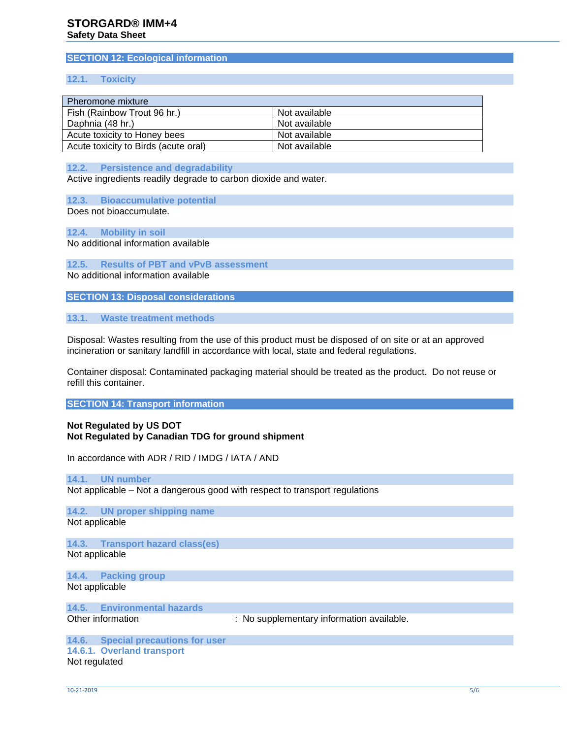# **SECTION 12: Ecological information**

#### **12.1. Toxicity**

| Pheromone mixture                    |               |
|--------------------------------------|---------------|
| Fish (Rainbow Trout 96 hr.)          | Not available |
| Daphnia (48 hr.)                     | Not available |
| Acute toxicity to Honey bees         | Not available |
| Acute toxicity to Birds (acute oral) | Not available |

**12.2. Persistence and degradability**

Active ingredients readily degrade to carbon dioxide and water.

**12.3. Bioaccumulative potential** Does not bioaccumulate.

**12.4. Mobility in soil**

No additional information available

**12.5. Results of PBT and vPvB assessment** No additional information available

**SECTION 13: Disposal considerations**

**13.1. Waste treatment methods**

Disposal: Wastes resulting from the use of this product must be disposed of on site or at an approved incineration or sanitary landfill in accordance with local, state and federal regulations.

Container disposal: Contaminated packaging material should be treated as the product. Do not reuse or refill this container.

**SECTION 14: Transport information**

#### **Not Regulated by US DOT Not Regulated by Canadian TDG for ground shipment**

In accordance with ADR / RID / IMDG / IATA / AND

#### **14.1. UN number**

Not applicable – Not a dangerous good with respect to transport regulations

**14.2. UN proper shipping name** Not applicable

**14.3. Transport hazard class(es)** Not applicable

**14.4. Packing group** Not applicable

**14.5. Environmental hazards**

Other information : No supplementary information available.

**14.6. Special precautions for user 14.6.1. Overland transport** Not regulated